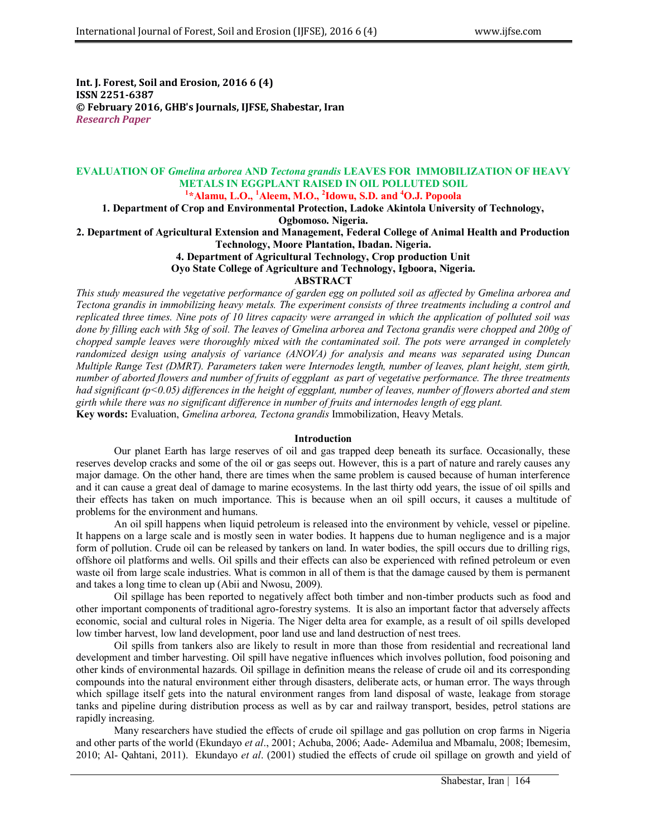**Int. J. Forest, Soil and Erosion, 2016 6 (4) ISSN 2251-6387 © February 2016, GHB's Journals, IJFSE, Shabestar, Iran** *Research Paper*

# **EVALUATION OF** *Gmelina arborea* **AND** *Tectona grandis* **LEAVES FOR IMMOBILIZATION OF HEAVY METALS IN EGGPLANT RAISED IN OIL POLLUTED SOIL**

**1 \*Alamu, L.O., <sup>1</sup>Aleem, M.O., <sup>2</sup> Idowu, S.D. and <sup>4</sup>O.J. Popoola**

**1. Department of Crop and Environmental Protection, Ladoke Akintola University of Technology,** 

**Ogbomoso. Nigeria.**

**2. Department of Agricultural Extension and Management, Federal College of Animal Health and Production** 

**Technology, Moore Plantation, Ibadan. Nigeria.**

**4. Department of Agricultural Technology, Crop production Unit Oyo State College of Agriculture and Technology, Igboora, Nigeria.**

### **ABSTRACT**

*This study measured the vegetative performance of garden egg on polluted soil as affected by Gmelina arborea and Tectona grandis in immobilizing heavy metals. The experiment consists of three treatments including a control and replicated three times. Nine pots of 10 litres capacity were arranged in which the application of polluted soil was done by filling each with 5kg of soil. The leaves of Gmelina arborea and Tectona grandis were chopped and 200g of chopped sample leaves were thoroughly mixed with the contaminated soil. The pots were arranged in completely randomized design using analysis of variance (ANOVA) for analysis and means was separated using Duncan Multiple Range Test (DMRT). Parameters taken were Internodes length, number of leaves, plant height, stem girth, number of aborted flowers and number of fruits of eggplant as part of vegetative performance. The three treatments had significant (p<0.05) differences in the height of eggplant, number of leaves, number of flowers aborted and stem girth while there was no significant difference in number of fruits and internodes length of egg plant.* **Key words:** Evaluation, *Gmelina arborea, Tectona grandis* Immobilization, Heavy Metals.

### **Introduction**

Our planet Earth has large reserves of oil and gas trapped deep beneath its surface. Occasionally, these reserves develop cracks and some of the oil or gas seeps out. However, this is a part of nature and rarely causes any major damage. On the other hand, there are times when the same problem is caused because of human interference and it can cause a great deal of damage to marine ecosystems. In the last thirty odd years, the issue of oil spills and their effects has taken on much importance. This is because when an oil spill occurs, it causes a multitude of problems for the environment and humans.

An oil spill happens when liquid petroleum is released into the environment by vehicle, vessel or pipeline. It happens on a large scale and is mostly seen in water bodies. It happens due to human negligence and is a major form of pollution. Crude oil can be released by tankers on land. In water bodies, the spill occurs due to drilling rigs, offshore oil platforms and wells. Oil spills and their effects can also be experienced with refined petroleum or even waste oil from large scale industries. What is common in all of them is that the damage caused by them is permanent and takes a long time to clean up (Abii and Nwosu, 2009).

Oil spillage has been reported to negatively affect both timber and non-timber products such as food and other important components of traditional agro-forestry systems. It is also an important factor that adversely affects economic, social and cultural roles in Nigeria. The Niger delta area for example, as a result of oil spills developed low timber harvest, low land development, poor land use and land destruction of nest trees.

Oil spills from tankers also are likely to result in more than those from residential and recreational land development and timber harvesting. Oil spill have negative influences which involves pollution, food poisoning and other kinds of environmental hazards. Oil spillage in definition means the release of crude oil and its corresponding compounds into the natural environment either through disasters, deliberate acts, or human error. The ways through which spillage itself gets into the natural environment ranges from land disposal of waste, leakage from storage tanks and pipeline during distribution process as well as by car and railway transport, besides, petrol stations are rapidly increasing.

Many researchers have studied the effects of crude oil spillage and gas pollution on crop farms in Nigeria and other parts of the world (Ekundayo *et al*., 2001; Achuba, 2006; Aade- Ademilua and Mbamalu, 2008; Ibemesim, 2010; Al- Qahtani, 2011). Ekundayo *et al*. (2001) studied the effects of crude oil spillage on growth and yield of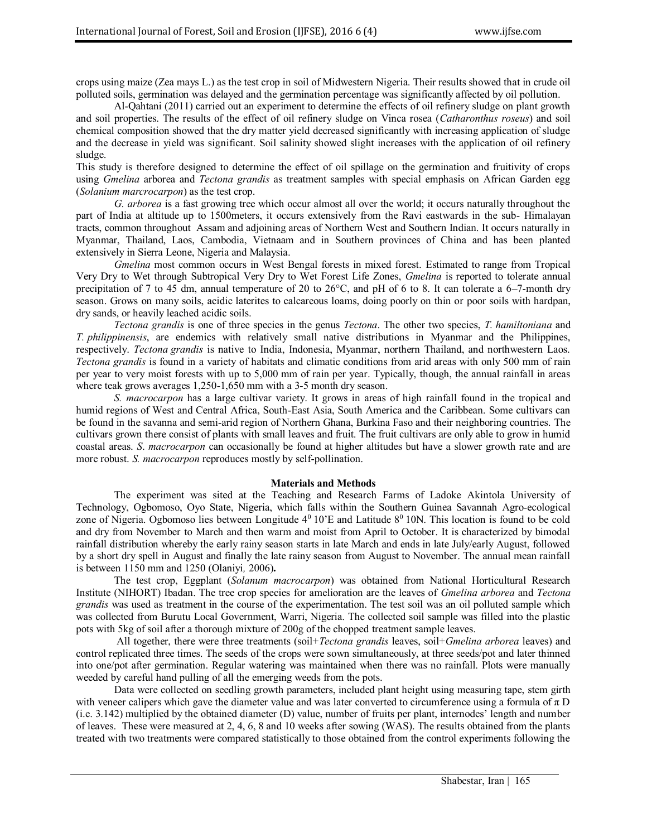crops using maize (Zea mays L.) as the test crop in soil of Midwestern Nigeria. Their results showed that in crude oil polluted soils, germination was delayed and the germination percentage was significantly affected by oil pollution.

Al-Qahtani (2011) carried out an experiment to determine the effects of oil refinery sludge on plant growth and soil properties. The results of the effect of oil refinery sludge on Vinca rosea (*Catharonthus roseus*) and soil chemical composition showed that the dry matter yield decreased significantly with increasing application of sludge and the decrease in yield was significant. Soil salinity showed slight increases with the application of oil refinery sludge.

This study is therefore designed to determine the effect of oil spillage on the germination and fruitivity of crops using *Gmelina* arborea and *Tectona grandis* as treatment samples with special emphasis on African Garden egg (*Solanium marcrocarpon*) as the test crop.

*G. arborea* is a fast growing tree which occur almost all over the world; it occurs naturally throughout the part of India at altitude up to 1500meters, it occurs extensively from the Ravi eastwards in the sub- Himalayan tracts, common throughout Assam and adjoining areas of Northern West and Southern Indian. It occurs naturally in Myanmar, Thailand, Laos, Cambodia, Vietnaam and in Southern provinces of China and has been planted extensively in Sierra Leone, Nigeria and Malaysia.

*Gmelina* most common occurs in West Bengal forests in mixed forest. Estimated to range from Tropical Very Dry to Wet through Subtropical Very Dry to Wet Forest Life Zones, *Gmelina* is reported to tolerate annual precipitation of 7 to 45 dm, annual temperature of 20 to 26°C, and pH of 6 to 8. It can tolerate a 6–7-month dry season. Grows on many soils, acidic laterites to calcareous loams, doing poorly on thin or poor soils with hardpan, dry sands, or heavily leached acidic soils.

*Tectona grandis* is one of three species in the genus *Tectona*. The other two species, *T. hamiltoniana* and *T. philippinensis*, are endemics with relatively small native distributions in Myanmar and the Philippines, respectively. *Tectona grandis* is native to India, Indonesia, Myanmar, northern Thailand, and northwestern Laos. *Tectona grandis* is found in a variety of habitats and climatic conditions from arid areas with only 500 mm of rain per year to very moist forests with up to 5,000 mm of rain per year. Typically, though, the annual rainfall in areas where teak grows averages 1,250-1,650 mm with a 3-5 month dry season.

*S. macrocarpon* has a large cultivar variety. It grows in areas of high rainfall found in the tropical and humid regions of West and Central Africa, South-East Asia, South America and the Caribbean. Some cultivars can be found in the savanna and semi-arid region of Northern Ghana, Burkina Faso and their neighboring countries. The cultivars grown there consist of plants with small leaves and fruit. The fruit cultivars are only able to grow in humid coastal areas. *S*. *macrocarpon* can occasionally be found at higher altitudes but have a slower growth rate and are more robust. *S. macrocarpon* reproduces mostly by self-pollination.

#### **Materials and Methods**

The experiment was sited at the Teaching and Research Farms of Ladoke Akintola University of Technology, Ogbomoso, Oyo State, Nigeria, which falls within the Southern Guinea Savannah Agro-ecological zone of Nigeria. Ogbomoso lies between Longitude  $4^0$  10'E and Latitude  $8^0$  10N. This location is found to be cold and dry from November to March and then warm and moist from April to October. It is characterized by bimodal rainfall distribution whereby the early rainy season starts in late March and ends in late July/early August, followed by a short dry spell in August and finally the late rainy season from August to November. The annual mean rainfall is between 1150 mm and 1250 (Olaniyi*,* 2006)**.** 

The test crop, Eggplant (*Solanum macrocarpon*) was obtained from National Horticultural Research Institute (NIHORT) Ibadan. The tree crop species for amelioration are the leaves of *Gmelina arborea* and *Tectona grandis* was used as treatment in the course of the experimentation. The test soil was an oil polluted sample which was collected from Burutu Local Government, Warri, Nigeria. The collected soil sample was filled into the plastic pots with 5kg of soil after a thorough mixture of 200g of the chopped treatment sample leaves.

All together, there were three treatments (soil+*Tectona grandis* leaves, soil+*Gmelina arborea* leaves) and control replicated three times. The seeds of the crops were sown simultaneously, at three seeds/pot and later thinned into one/pot after germination. Regular watering was maintained when there was no rainfall. Plots were manually weeded by careful hand pulling of all the emerging weeds from the pots.

Data were collected on seedling growth parameters, included plant height using measuring tape, stem girth with veneer calipers which gave the diameter value and was later converted to circumference using a formula of  $\pi$  D (i.e. 3.142) multiplied by the obtained diameter (D) value, number of fruits per plant, internodes' length and number of leaves. These were measured at 2, 4, 6, 8 and 10 weeks after sowing (WAS). The results obtained from the plants treated with two treatments were compared statistically to those obtained from the control experiments following the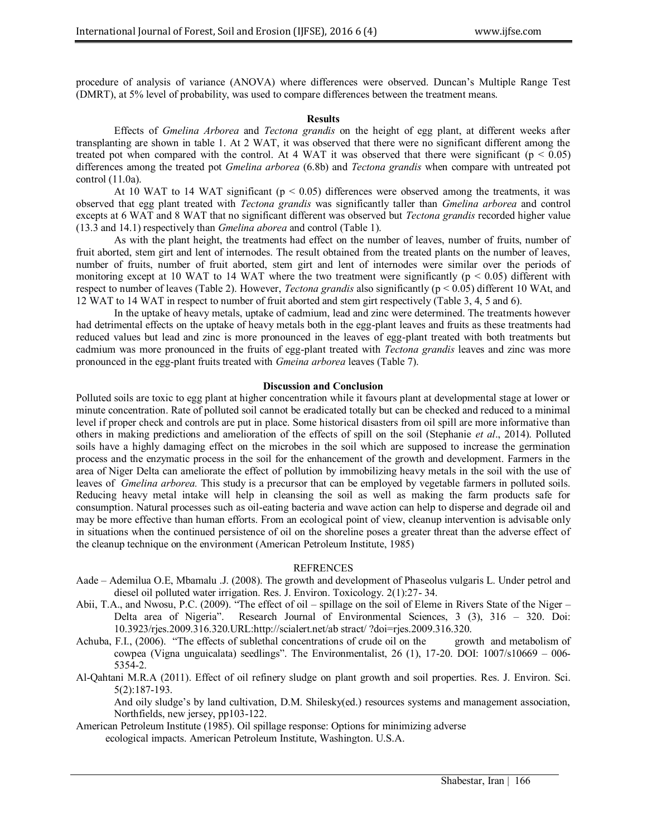procedure of analysis of variance (ANOVA) where differences were observed. Duncan's Multiple Range Test (DMRT), at 5% level of probability, was used to compare differences between the treatment means.

#### **Results**

Effects of *Gmelina Arborea* and *Tectona grandis* on the height of egg plant, at different weeks after transplanting are shown in table 1. At 2 WAT, it was observed that there were no significant different among the treated pot when compared with the control. At 4 WAT it was observed that there were significant ( $p < 0.05$ ) differences among the treated pot *Gmelina arborea* (6.8b) and *Tectona grandis* when compare with untreated pot control (11.0a).

At 10 WAT to 14 WAT significant ( $p < 0.05$ ) differences were observed among the treatments, it was observed that egg plant treated with *Tectona grandis* was significantly taller than *Gmelina arborea* and control excepts at 6 WAT and 8 WAT that no significant different was observed but *Tectona grandis* recorded higher value (13.3 and 14.1) respectively than *Gmelina aborea* and control (Table 1).

As with the plant height, the treatments had effect on the number of leaves, number of fruits, number of fruit aborted, stem girt and lent of internodes. The result obtained from the treated plants on the number of leaves, number of fruits, number of fruit aborted, stem girt and lent of internodes were similar over the periods of monitoring except at 10 WAT to 14 WAT where the two treatment were significantly ( $p < 0.05$ ) different with respect to number of leaves (Table 2). However, *Tectona grandis* also significantly (p < 0.05) different 10 WAt, and 12 WAT to 14 WAT in respect to number of fruit aborted and stem girt respectively (Table 3, 4, 5 and 6).

In the uptake of heavy metals, uptake of cadmium, lead and zinc were determined. The treatments however had detrimental effects on the uptake of heavy metals both in the egg-plant leaves and fruits as these treatments had reduced values but lead and zinc is more pronounced in the leaves of egg-plant treated with both treatments but cadmium was more pronounced in the fruits of egg-plant treated with *Tectona grandis* leaves and zinc was more pronounced in the egg-plant fruits treated with *Gmeina arborea* leaves (Table 7).

#### **Discussion and Conclusion**

Polluted soils are toxic to egg plant at higher concentration while it favours plant at developmental stage at lower or minute concentration. Rate of polluted soil cannot be eradicated totally but can be checked and reduced to a minimal level if proper check and controls are put in place. Some historical disasters from oil spill are more informative than others in making predictions and amelioration of the effects of spill on the soil (Stephanie *et al*., 2014). Polluted soils have a highly damaging effect on the microbes in the soil which are supposed to increase the germination process and the enzymatic process in the soil for the enhancement of the growth and development. Farmers in the area of Niger Delta can ameliorate the effect of pollution by immobilizing heavy metals in the soil with the use of leaves of *Gmelina arborea.* This study is a precursor that can be employed by vegetable farmers in polluted soils. Reducing heavy metal intake will help in cleansing the soil as well as making the farm products safe for consumption. Natural processes such as oil-eating bacteria and wave action can help to disperse and degrade oil and may be more effective than human efforts. From an ecological point of view, cleanup intervention is advisable only in situations when the continued persistence of oil on the shoreline poses a greater threat than the adverse effect of the cleanup technique on the environment (American Petroleum Institute, 1985)

#### **REFRENCES**

- Aade Ademilua O.E, Mbamalu .J. (2008). The growth and development of Phaseolus vulgaris L. Under petrol and diesel oil polluted water irrigation. Res. J. Environ. Toxicology. 2(1):27- 34.
- Abii, T.A., and Nwosu, P.C. (2009). "The effect of oil spillage on the soil of Eleme in Rivers State of the Niger Delta area of Nigeria". Research Journal of Environmental Sciences, 3 (3), 316 – 320. Doi: 10.3923/rjes.2009.316.320.URL:http://scialert.net/ab stract/ ?doi=rjes.2009.316.320.
- Achuba, F.I., (2006). "The effects of sublethal concentrations of crude oil on the growth and metabolism of cowpea (Vigna unguicalata) seedlings". The Environmentalist,  $26$  (1), 17-20. DOI: 1007/s10669 – 006-5354-2.
- Al-Qahtani M.R.A (2011). Effect of oil refinery sludge on plant growth and soil properties. Res. J. Environ. Sci. 5(2):187-193.

And oily sludge's by land cultivation, D.M. Shilesky(ed.) resources systems and management association, Northfields, new jersey, pp103-122.

American Petroleum Institute (1985). Oil spillage response: Options for minimizing adverse ecological impacts. American Petroleum Institute, Washington. U.S.A.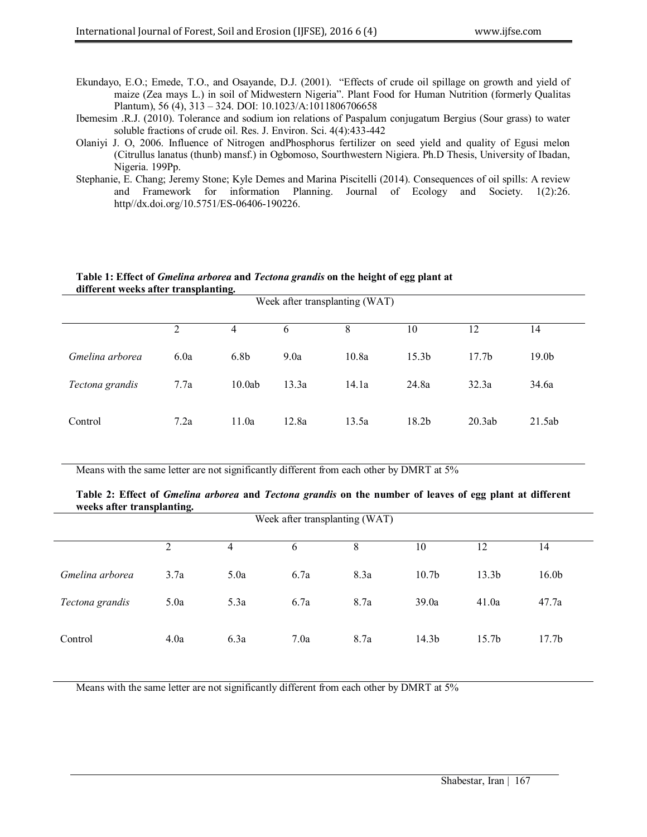- Ekundayo, E.O.; Emede, T.O., and Osayande, D.J. (2001). "Effects of crude oil spillage on growth and yield of maize (Zea mays L.) in soil of Midwestern Nigeria". Plant Food for Human Nutrition (formerly Qualitas Plantum), 56 (4), 313 – 324. DOI: 10.1023/A:1011806706658
- Ibemesim .R.J. (2010). Tolerance and sodium ion relations of Paspalum conjugatum Bergius (Sour grass) to water soluble fractions of crude oil. Res. J. Environ. Sci. 4(4):433-442
- Olaniyi J. O, 2006. Influence of Nitrogen andPhosphorus fertilizer on seed yield and quality of Egusi melon (Citrullus lanatus (thunb) mansf.) in Ogbomoso, Sourthwestern Nigiera. Ph.D Thesis, University of Ibadan, Nigeria. 199Pp.
- Stephanie, E. Chang; Jeremy Stone; Kyle Demes and Marina Piscitelli (2014). Consequences of oil spills: A review and Framework for information Planning. Journal of Ecology and Society. 1(2):26. http//dx.doi.org/10.5751/ES-06406-190226.

#### **Table 1: Effect of** *Gmelina arborea* **and** *Tectona grandis* **on the height of egg plant at different weeks after transplanting.**

| Week after transplanting (WAT) |      |                  |       |       |                   |                   |                   |
|--------------------------------|------|------------------|-------|-------|-------------------|-------------------|-------------------|
|                                | 2    | 4                | 6     | 8     | 10                | 12                | 14                |
| Gmelina arborea                | 6.0a | 6.8 <sub>b</sub> | 9.0a  | 10.8a | 15.3 <sub>b</sub> | 17.7 <sub>b</sub> | 19.0 <sub>b</sub> |
| Tectona grandis                | 7.7a | 10.0ab           | 13.3a | 14.1a | 24.8a             | 32.3a             | 34.6a             |
| Control                        | 7.2a | 11.0a            | 12.8a | 13.5a | 18.2b             | 20.3ab            | 21.5ab            |

Means with the same letter are not significantly different from each other by DMRT at 5%

### **Table 2: Effect of** *Gmelina arborea* **and** *Tectona grandis* **on the number of leaves of egg plant at different weeks after transplanting.**

| Week after transplanting (WAT) |      |      |      |      |                   |                   |                   |
|--------------------------------|------|------|------|------|-------------------|-------------------|-------------------|
|                                | 2    | 4    | 6    | 8    | 10                | 12                | 14                |
| Gmelina arborea                | 3.7a | 5.0a | 6.7a | 8.3a | 10.7 <sub>b</sub> | 13.3 <sub>b</sub> | 16.0 <sub>b</sub> |
| Tectona grandis                | 5.0a | 5.3a | 6.7a | 8.7a | 39.0a             | 41.0a             | 47.7a             |
| Control                        | 4.0a | 6.3a | 7.0a | 8.7a | 14.3 <sub>b</sub> | 15.7 <sub>b</sub> | 17.7 <sub>b</sub> |

Means with the same letter are not significantly different from each other by DMRT at 5%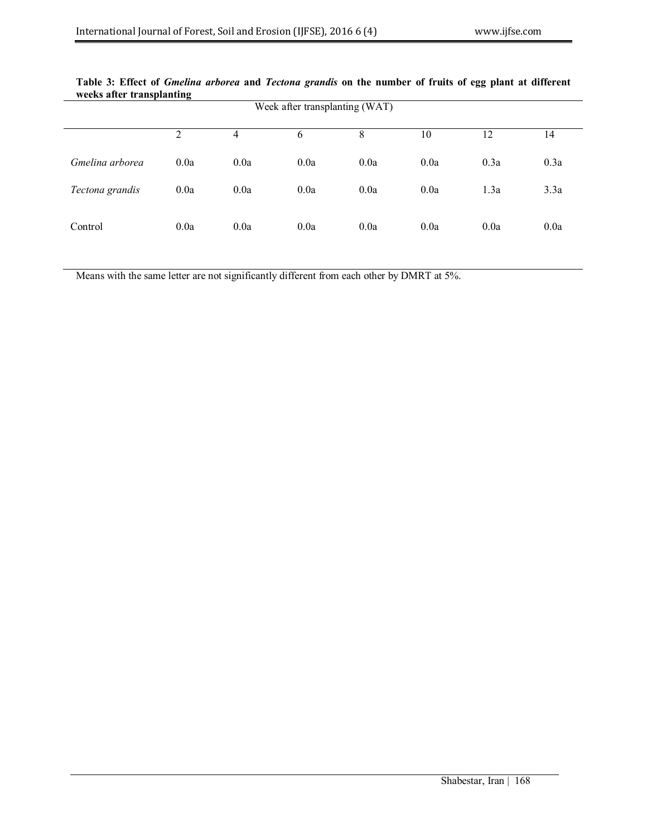| - 29<br>Week after transplanting (WAT) |                |      |      |      |      |      |      |  |
|----------------------------------------|----------------|------|------|------|------|------|------|--|
|                                        | $\overline{2}$ | 4    | 6    | 8    | 10   | 12   | 14   |  |
| Gmelina arborea                        | 0.0a           | 0.0a | 0.0a | 0.0a | 0.0a | 0.3a | 0.3a |  |
| Tectona grandis                        | 0.0a           | 0.0a | 0.0a | 0.0a | 0.0a | 1.3a | 3.3a |  |
| Control                                | 0.0a           | 0.0a | 0.0a | 0.0a | 0.0a | 0.0a | 0.0a |  |

### **Table 3: Effect of** *Gmelina arborea* **and** *Tectona grandis* **on the number of fruits of egg plant at different weeks after transplanting**

Means with the same letter are not significantly different from each other by DMRT at 5%.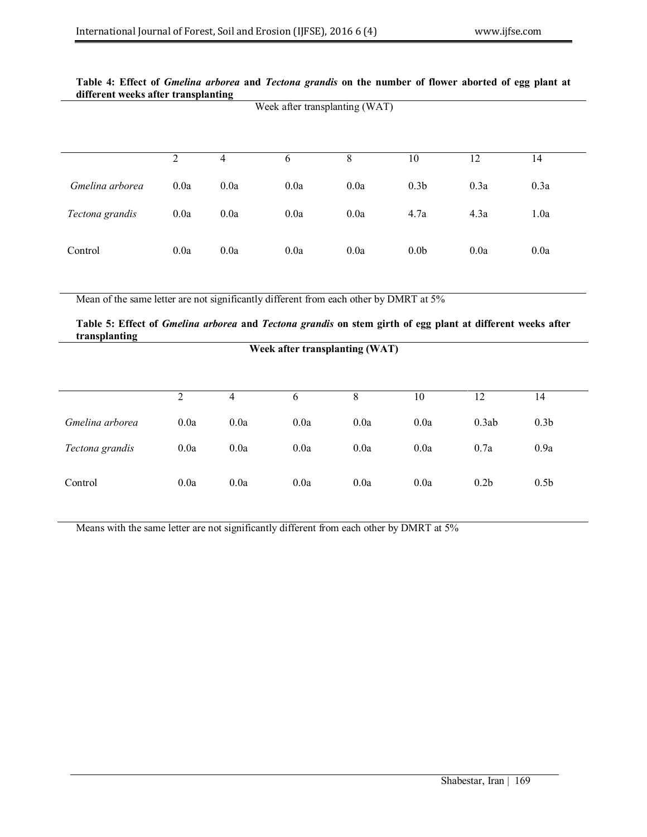### **Table 4: Effect of** *Gmelina arborea* **and** *Tectona grandis* **on the number of flower aborted of egg plant at different weeks after transplanting** Week after transplanting (WAT)

|                 | 2    | 4    | 6    | 8    | 10               | 12   | 14   |
|-----------------|------|------|------|------|------------------|------|------|
| Gmelina arborea | 0.0a | 0.0a | 0.0a | 0.0a | 0.3 <sub>b</sub> | 0.3a | 0.3a |
| Tectona grandis | 0.0a | 0.0a | 0.0a | 0.0a | 4.7a             | 4.3a | 1.0a |
| Control         | 0.0a | 0.0a | 0.0a | 0.0a | 0.0 <sub>b</sub> | 0.0a | 0.0a |

Mean of the same letter are not significantly different from each other by DMRT at 5%

### **Table 5: Effect of** *Gmelina arborea* **and** *Tectona grandis* **on stem girth of egg plant at different weeks after transplanting**

**Week after transplanting (WAT)**

|                 | ↑    | 4    | b    | 8    | 10   | 12               | 14               |
|-----------------|------|------|------|------|------|------------------|------------------|
| Gmelina arborea | 0.0a | 0.0a | 0.0a | 0.0a | 0.0a | 0.3ab            | 0.3 <sub>b</sub> |
| Tectona grandis | 0.0a | 0.0a | 0.0a | 0.0a | 0.0a | 0.7a             | 0.9a             |
| Control         | 0.0a | 0.0a | 0.0a | 0.0a | 0.0a | 0.2 <sub>b</sub> | 0.5 <sub>b</sub> |

Means with the same letter are not significantly different from each other by DMRT at 5%